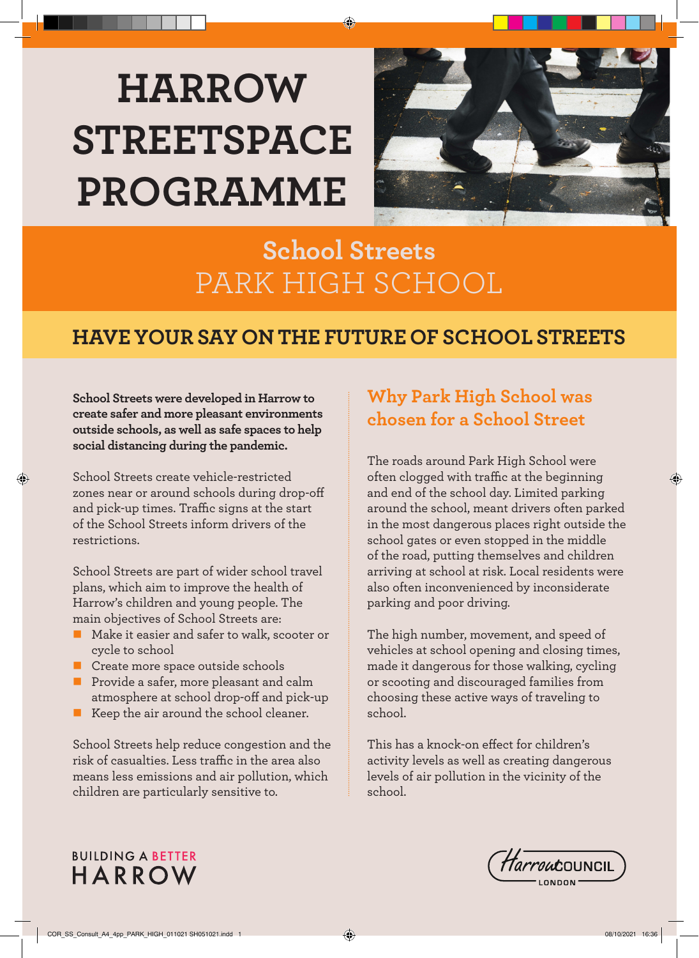# **HARROW STREETSPACE PROGRAMME**



# **School Streets** PARK HIGH SCHOOL

# **HAVE YOUR SAY ON THE FUTURE OF SCHOOL STREETS**

**School Streets were developed in Harrow to create safer and more pleasant environments outside schools, as well as safe spaces to help social distancing during the pandemic.** 

School Streets create vehicle-restricted zones near or around schools during drop-off and pick-up times. Traffic signs at the start of the School Streets inform drivers of the restrictions.

◈

School Streets are part of wider school travel plans, which aim to improve the health of Harrow's children and young people. The main objectives of School Streets are:

- Make it easier and safer to walk, scooter or cycle to school
- Create more space outside schools
- **Provide a safer, more pleasant and calm** atmosphere at school drop-off and pick-up
- Keep the air around the school cleaner.

School Streets help reduce congestion and the risk of casualties. Less traffic in the area also means less emissions and air pollution, which children are particularly sensitive to.

# **Why Park High School was chosen for a School Street**

The roads around Park High School were often clogged with traffic at the beginning and end of the school day. Limited parking around the school, meant drivers often parked in the most dangerous places right outside the school gates or even stopped in the middle of the road, putting themselves and children arriving at school at risk. Local residents were also often inconvenienced by inconsiderate parking and poor driving.

The high number, movement, and speed of vehicles at school opening and closing times, made it dangerous for those walking, cycling or scooting and discouraged families from choosing these active ways of traveling to school.

This has a knock-on effect for children's activity levels as well as creating dangerous levels of air pollution in the vicinity of the school.

#### **BUILDING A BETTER HARROW**



◈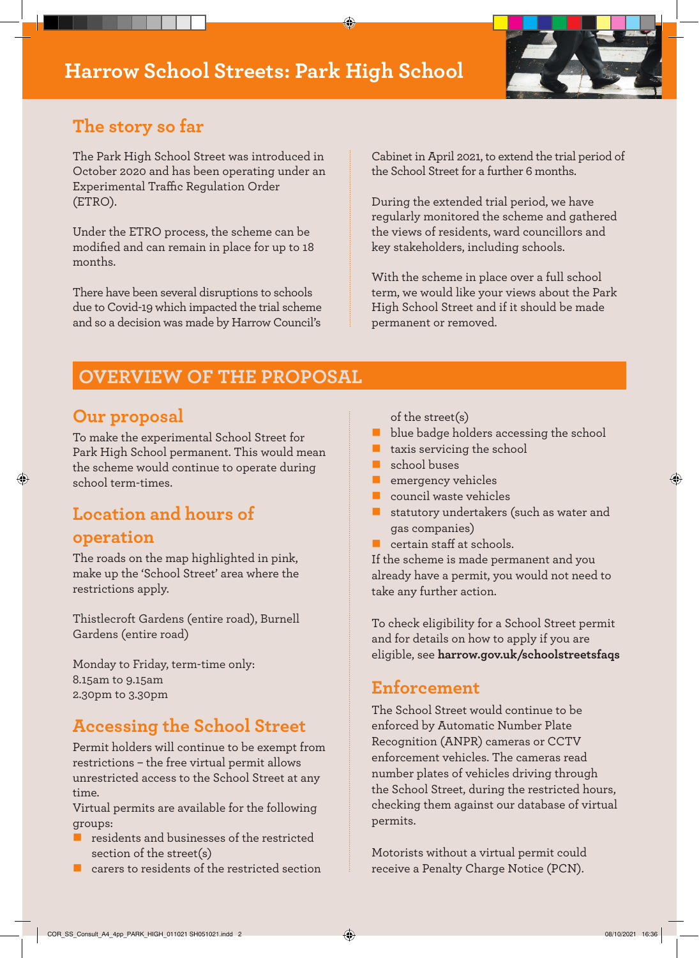# **Harrow School Streets: Park High School**



### **The story so far**

The Park High School Street was introduced in October 2020 and has been operating under an Experimental Traffic Regulation Order (ETRO).

Under the ETRO process, the scheme can be modified and can remain in place for up to 18 months.

There have been several disruptions to schools due to Covid-19 which impacted the trial scheme and so a decision was made by Harrow Council's

Cabinet in April 2021, to extend the trial period of the School Street for a further 6 months.

During the extended trial period, we have regularly monitored the scheme and gathered the views of residents, ward councillors and key stakeholders, including schools.

With the scheme in place over a full school term, we would like your views about the Park High School Street and if it should be made permanent or removed.

### **OVERVIEW OF THE PROPOSAL**

#### **Our proposal**

To make the experimental School Street for Park High School permanent. This would mean the scheme would continue to operate during school term-times.

# **Location and hours of operation**

The roads on the map highlighted in pink, make up the 'School Street' area where the restrictions apply.

Thistlecroft Gardens (entire road), Burnell Gardens (entire road)

Monday to Friday, term-time only: 8.15am to 9.15am 2.30pm to 3.30pm

#### **Accessing the School Street**

Permit holders will continue to be exempt from restrictions – the free virtual permit allows unrestricted access to the School Street at any time.

Virtual permits are available for the following groups:

- residents and businesses of the restricted section of the street(s)
- carers to residents of the restricted section
- of the street(s)
- blue badge holders accessing the school
- taxis servicing the school
- school buses
- emergency vehicles
- council waste vehicles
- statutory undertakers (such as water and gas companies)
- certain staff at schools.

If the scheme is made permanent and you already have a permit, you would not need to take any further action.

To check eligibility for a School Street permit and for details on how to apply if you are eligible, see **harrow.gov.uk/schoolstreetsfaqs**

#### **Enforcement**

The School Street would continue to be enforced by Automatic Number Plate Recognition (ANPR) cameras or CCTV enforcement vehicles. The cameras read number plates of vehicles driving through the School Street, during the restricted hours, checking them against our database of virtual permits.

Motorists without a virtual permit could receive a Penalty Charge Notice (PCN).

◈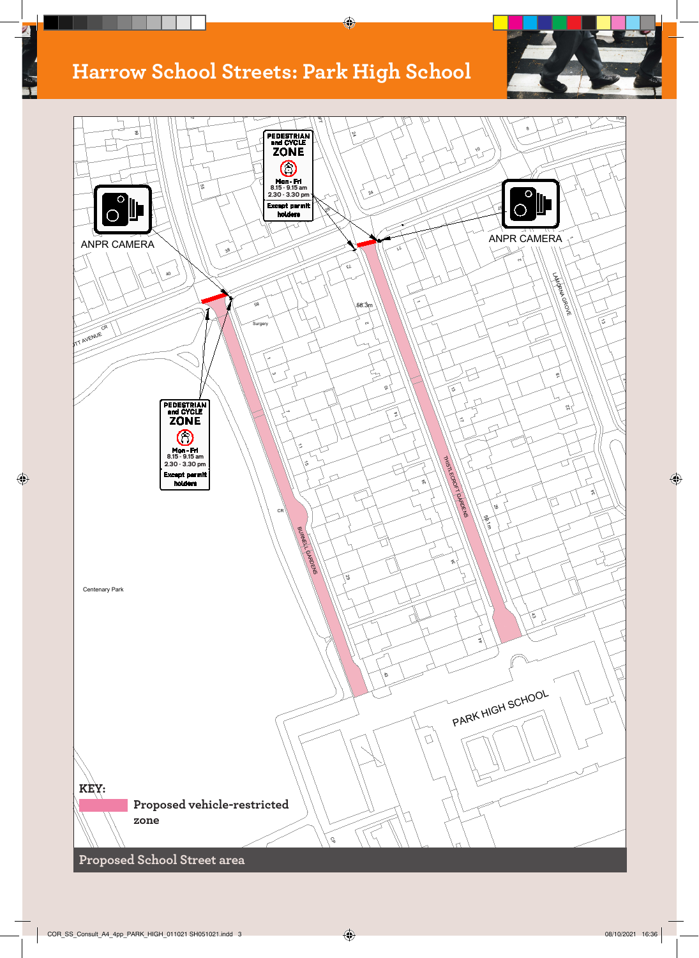# **Harrow School Streets: Park High School**

 $\overline{\mathbb{Z}}$ 

⊕

 $\bigcirc$ 





**Proposed School Street area**

 $\bigcirc$